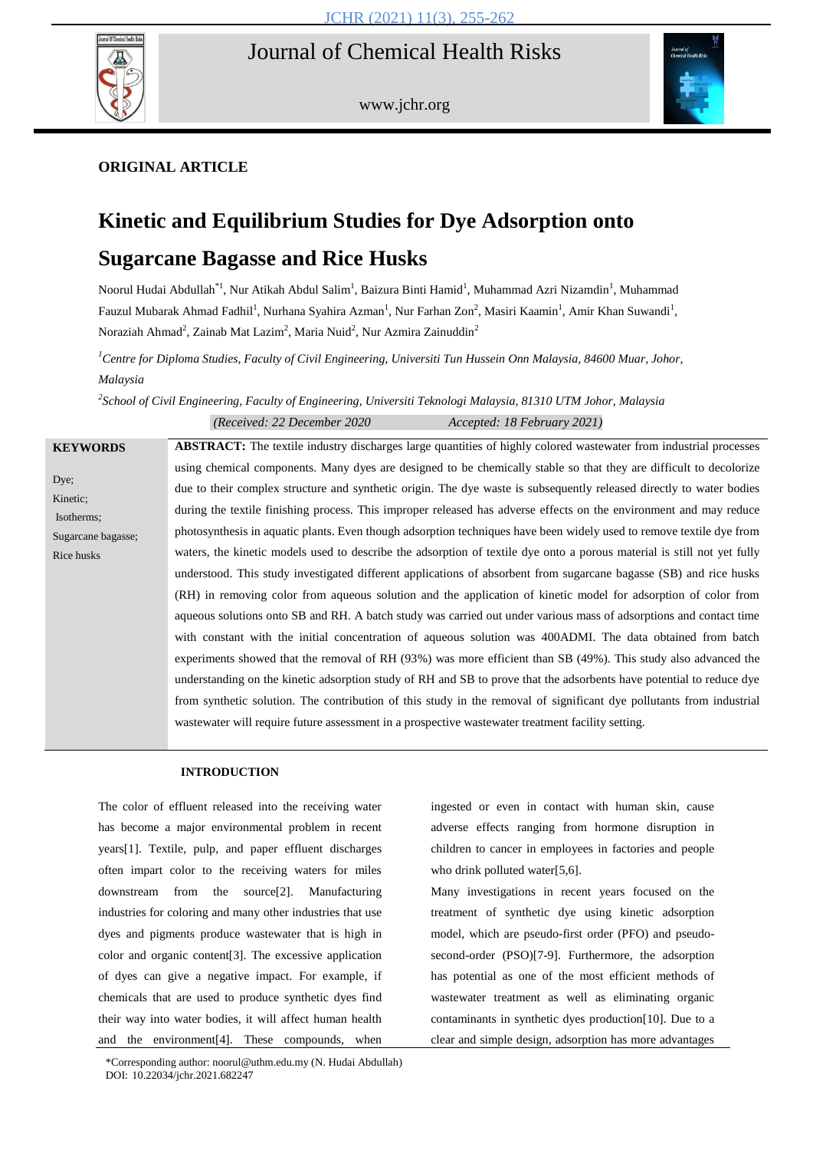# Journal of Chemical Health Risks



www.jchr.org



## **ORIGINAL ARTICLE**

# **Kinetic and Equilibrium Studies for Dye Adsorption onto Sugarcane Bagasse and Rice Husks**

Noorul Hudai Abdullah<sup>\*1</sup>, Nur Atikah Abdul Salim<sup>1</sup>, Baizura Binti Hamid<sup>1</sup>, Muhammad Azri Nizamdin<sup>1</sup>, Muhammad Fauzul Mubarak Ahmad Fadhil<sup>1</sup>, Nurhana Syahira Azman<sup>1</sup>, Nur Farhan Zon<sup>2</sup>, Masiri Kaamin<sup>1</sup>, Amir Khan Suwandi<sup>1</sup>, Noraziah Ahmad<sup>2</sup>, Zainab Mat Lazim<sup>2</sup>, Maria Nuid<sup>2</sup>, Nur Azmira Zainuddin<sup>2</sup>

*<sup>1</sup>Centre for Diploma Studies, Faculty of Civil Engineering, Universiti Tun Hussein Onn Malaysia, 84600 Muar, Johor, Malaysia*

*2 School of Civil Engineering, Faculty of Engineering, Universiti Teknologi Malaysia, 81310 UTM Johor, Malaysia*

|                                                                    | (Received: 22 December 2020)<br>Accepted: 18 February 2021)                                                                                                                                                                                                                                                                                                                                                                                                                                                                                                                                                                                                                                                                                                                                                                                                                                                                                                                                                                                                                                                                                                                                                                                                                                                                                                                                                                                                                                                                                                              |
|--------------------------------------------------------------------|--------------------------------------------------------------------------------------------------------------------------------------------------------------------------------------------------------------------------------------------------------------------------------------------------------------------------------------------------------------------------------------------------------------------------------------------------------------------------------------------------------------------------------------------------------------------------------------------------------------------------------------------------------------------------------------------------------------------------------------------------------------------------------------------------------------------------------------------------------------------------------------------------------------------------------------------------------------------------------------------------------------------------------------------------------------------------------------------------------------------------------------------------------------------------------------------------------------------------------------------------------------------------------------------------------------------------------------------------------------------------------------------------------------------------------------------------------------------------------------------------------------------------------------------------------------------------|
| <b>KEYWORDS</b>                                                    | <b>ABSTRACT:</b> The textile industry discharges large quantities of highly colored wastewater from industrial processes                                                                                                                                                                                                                                                                                                                                                                                                                                                                                                                                                                                                                                                                                                                                                                                                                                                                                                                                                                                                                                                                                                                                                                                                                                                                                                                                                                                                                                                 |
| Dye;<br>Kinetic;<br>Isotherms;<br>Sugarcane bagasse;<br>Rice husks | using chemical components. Many dyes are designed to be chemically stable so that they are difficult to decolorize<br>due to their complex structure and synthetic origin. The dye waste is subsequently released directly to water bodies<br>during the textile finishing process. This improper released has adverse effects on the environment and may reduce<br>photosynthesis in aquatic plants. Even though adsorption techniques have been widely used to remove textile dye from<br>waters, the kinetic models used to describe the adsorption of textile dye onto a porous material is still not yet fully<br>understood. This study investigated different applications of absorbent from sugarcane bagasse (SB) and rice husks<br>(RH) in removing color from aqueous solution and the application of kinetic model for adsorption of color from<br>aqueous solutions onto SB and RH. A batch study was carried out under various mass of adsorptions and contact time<br>with constant with the initial concentration of aqueous solution was 400ADMI. The data obtained from batch<br>experiments showed that the removal of RH (93%) was more efficient than SB (49%). This study also advanced the<br>understanding on the kinetic adsorption study of RH and SB to prove that the adsorbents have potential to reduce dye<br>from synthetic solution. The contribution of this study in the removal of significant dye pollutants from industrial<br>was tewater will require future assessment in a prospective was tewater treatment facility setting. |

## **INTRODUCTION**

The color of effluent released into the receiving water has become a major environmental problem in recent years[1]. Textile, pulp, and paper effluent discharges often impart color to the receiving waters for miles downstream from the source[2]. Manufacturing industries for coloring and many other industries that use dyes and pigments produce wastewater that is high in color and organic content[3]. The excessive application of dyes can give a negative impact. For example, if chemicals that are used to produce synthetic dyes find their way into water bodies, it will affect human health and the environment[4]. These compounds, when

ingested or even in contact with human skin, cause adverse effects ranging from hormone disruption in children to cancer in employees in factories and people who drink polluted water[5,6].

Many investigations in recent years focused on the treatment of synthetic dye using kinetic adsorption model, which are pseudo-first order (PFO) and pseudosecond-order (PSO)[7-9]. Furthermore, the adsorption has potential as one of the most efficient methods of wastewater treatment as well as eliminating organic contaminants in synthetic dyes production[10]. Due to a clear and simple design, adsorption has more advantages

<sup>255</sup> \*Corresponding author: noorul@uthm.edu.my (N. Hudai Abdullah) DOI: 10.22034/jchr.2021.682247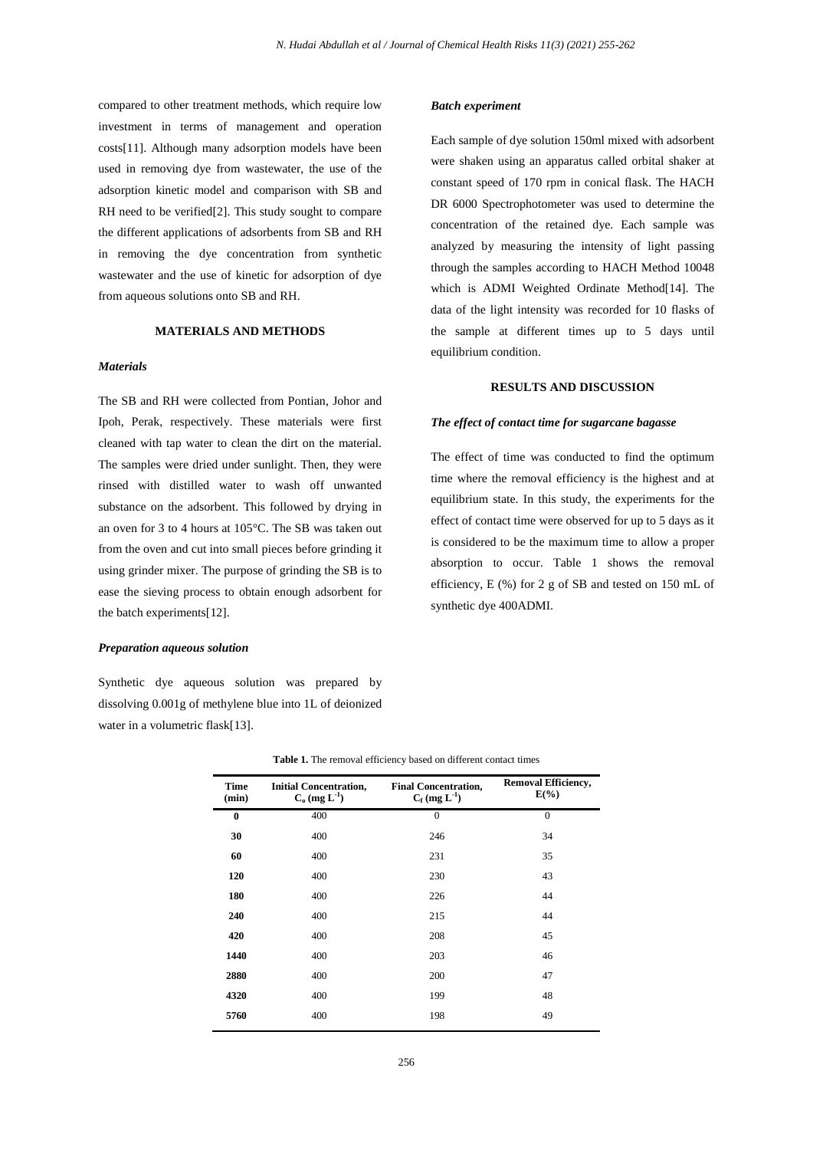compared to other treatment methods, which require low investment in terms of management and operation costs[11]. Although many adsorption models have been used in removing dye from wastewater, the use of the adsorption kinetic model and comparison with SB and RH need to be verified[2]. This study sought to compare the different applications of adsorbents from SB and RH in removing the dye concentration from synthetic wastewater and the use of kinetic for adsorption of dye from aqueous solutions onto SB and RH.

## **MATERIALS AND METHODS**

#### *Materials*

The SB and RH were collected from Pontian, Johor and Ipoh, Perak, respectively. These materials were first cleaned with tap water to clean the dirt on the material. The samples were dried under sunlight. Then, they were rinsed with distilled water to wash off unwanted substance on the adsorbent. This followed by drying in an oven for 3 to 4 hours at 105°C. The SB was taken out from the oven and cut into small pieces before grinding it using grinder mixer. The purpose of grinding the SB is to ease the sieving process to obtain enough adsorbent for the batch experiments[12].

## *Preparation aqueous solution*

Synthetic dye aqueous solution was prepared by dissolving 0.001g of methylene blue into 1L of deionized water in a volumetric flask[13].

#### *Batch experiment*

Each sample of dye solution 150ml mixed with adsorbent were shaken using an apparatus called orbital shaker at constant speed of 170 rpm in conical flask. The HACH DR 6000 Spectrophotometer was used to determine the concentration of the retained dye. Each sample was analyzed by measuring the intensity of light passing through the samples according to HACH Method 10048 which is ADMI Weighted Ordinate Method[14]. The data of the light intensity was recorded for 10 flasks of the sample at different times up to 5 days until equilibrium condition.

## **RESULTS AND DISCUSSION**

#### *The effect of contact time for sugarcane bagasse*

The effect of time was conducted to find the optimum time where the removal efficiency is the highest and at equilibrium state. In this study, the experiments for the effect of contact time were observed for up to 5 days as it is considered to be the maximum time to allow a proper absorption to occur. Table 1 shows the removal efficiency, E (%) for 2 g of SB and tested on 150 mL of synthetic dye 400ADMI.

| Time<br>(min) | <b>Initial Concentration,</b><br>$C_0$ (mg $L^{-1}$ ) | <b>Final Concentration,</b><br>$C_f$ (mg $L^{-1}$ ) | <b>Removal Efficiency,</b><br>$E(\%)$ |
|---------------|-------------------------------------------------------|-----------------------------------------------------|---------------------------------------|
| $\bf{0}$      | 400                                                   | $\mathbf{0}$                                        | $\theta$                              |
| 30            | 400                                                   | 246                                                 | 34                                    |
| 60            | 400                                                   | 231                                                 | 35                                    |
| 120           | 400                                                   | 230                                                 | 43                                    |
| 180           | 400                                                   | 226                                                 | 44                                    |
| 240           | 400                                                   | 215                                                 | 44                                    |
| 420           | 400                                                   | 208                                                 | 45                                    |
| 1440          | 400                                                   | 203                                                 | 46                                    |
| 2880          | 400                                                   | 200                                                 | 47                                    |
| 4320          | 400                                                   | 199                                                 | 48                                    |
| 5760          | 400                                                   | 198                                                 | 49                                    |
|               |                                                       |                                                     |                                       |

**Table 1.** The removal efficiency based on different contact times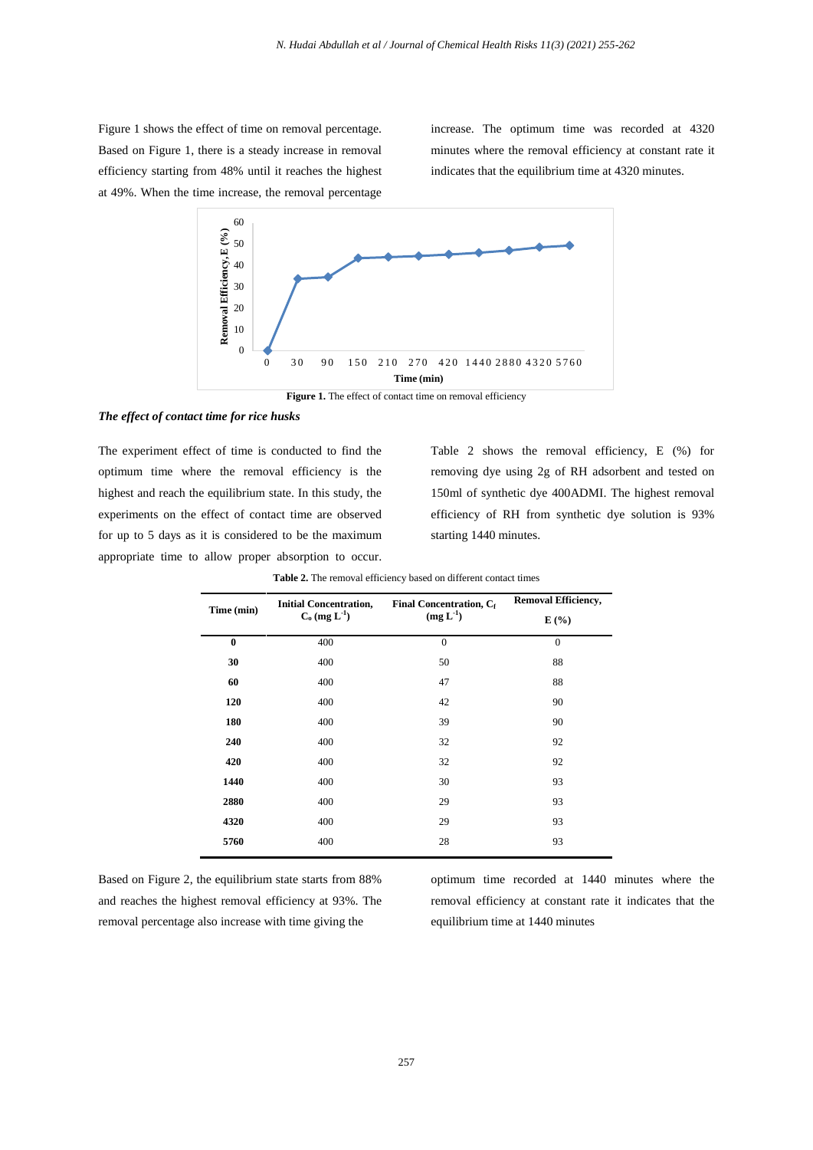Figure 1 shows the effect of time on removal percentage. Based on Figure 1, there is a steady increase in removal efficiency starting from 48% until it reaches the highest at 49%. When the time increase, the removal percentage

increase. The optimum time was recorded at 4320 minutes where the removal efficiency at constant rate it indicates that the equilibrium time at 4320 minutes.



## *The effect of contact time for rice husks*

The experiment effect of time is conducted to find the optimum time where the removal efficiency is the highest and reach the equilibrium state. In this study, the experiments on the effect of contact time are observed for up to 5 days as it is considered to be the maximum appropriate time to allow proper absorption to occur.

Table 2 shows the removal efficiency, E (%) for removing dye using 2g of RH adsorbent and tested on 150ml of synthetic dye 400ADMI. The highest removal efficiency of RH from synthetic dye solution is 93% starting 1440 minutes.

|            | <b>Initial Concentration,</b> | Final Concentration, Cf | <b>Removal Efficiency,</b> |
|------------|-------------------------------|-------------------------|----------------------------|
| Time (min) | $C_0$ (mg $L^{-1}$ )          | $(mg L^{-1})$           | E(%)                       |
| $\bf{0}$   | 400                           | $\overline{0}$          | $\mathbf{0}$               |
| 30         | 400                           | 50                      | 88                         |
| 60         | 400                           | 47                      | 88                         |
| 120        | 400                           | 42                      | 90                         |
| 180        | 400                           | 39                      | 90                         |
| 240        | 400                           | 32                      | 92                         |
| 420        | 400                           | 32                      | 92                         |
| 1440       | 400                           | 30                      | 93                         |
| 2880       | 400                           | 29                      | 93                         |
| 4320       | 400                           | 29                      | 93                         |
| 5760       | 400                           | 28                      | 93                         |

**Table 2.** The removal efficiency based on different contact times

Based on Figure 2, the equilibrium state starts from 88% and reaches the highest removal efficiency at 93%. The removal percentage also increase with time giving the

optimum time recorded at 1440 minutes where the removal efficiency at constant rate it indicates that the equilibrium time at 1440 minutes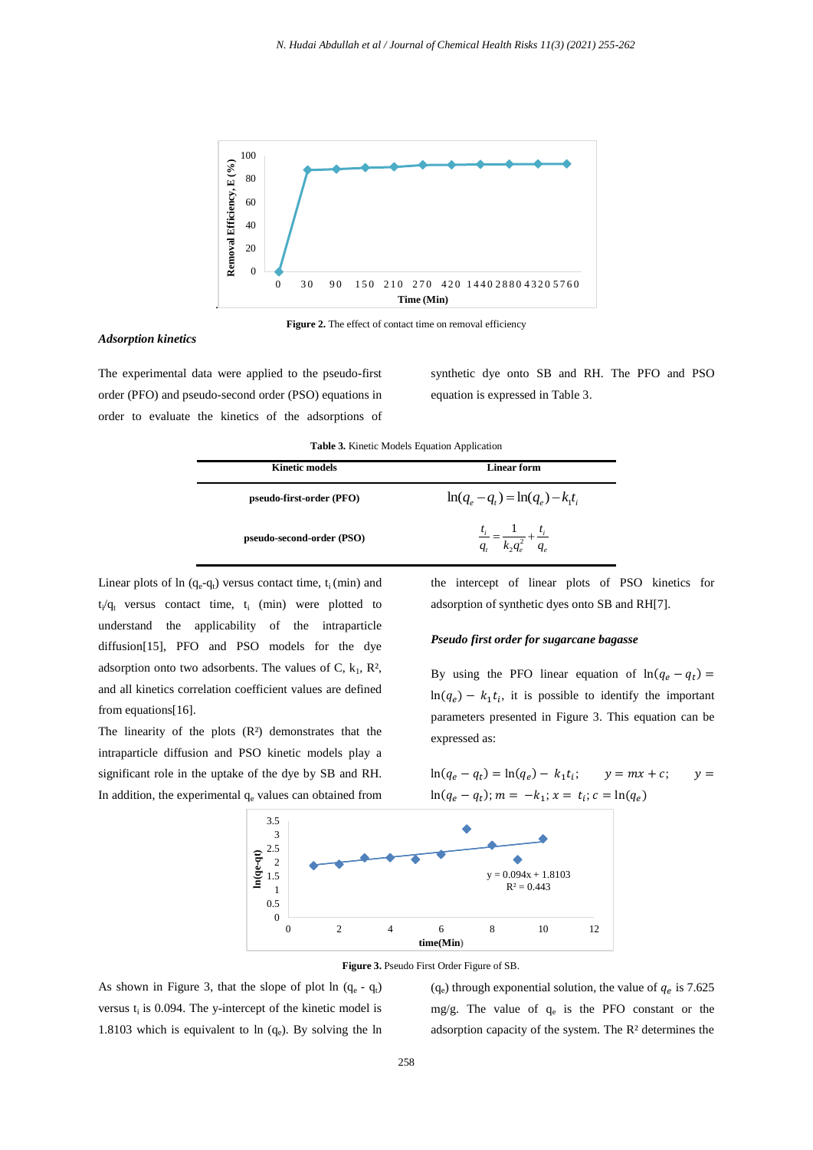



## *Adsorption kinetics*

The experimental data were applied to the pseudo-first order (PFO) and pseudo-second order (PSO) equations in order to evaluate the kinetics of the adsorptions of synthetic dye onto SB and RH. The PFO and PSO equation is expressed in Table 3.

**Table 3.** Kinetic Models Equation Application

| <b>Kinetic models</b>     | <b>Linear form</b>                                        |
|---------------------------|-----------------------------------------------------------|
| pseudo-first-order (PFO)  | $\ln(q_e - q_t) = \ln(q_e) - k_t t_i$                     |
| pseudo-second-order (PSO) | $\frac{t_i}{q_t} = \frac{1}{k_2 q_e^2} + \frac{t_i}{q_e}$ |

Linear plots of  $ln (q_e - q_t)$  versus contact time,  $t_i$  (min) and  $t_i/q_t$  versus contact time,  $t_i$  (min) were plotted to understand the applicability of the intraparticle diffusion[15], PFO and PSO models for the dye adsorption onto two adsorbents. The values of C,  $k_1$ ,  $R^2$ , and all kinetics correlation coefficient values are defined from equations[16].

The linearity of the plots  $(R<sup>2</sup>)$  demonstrates that the intraparticle diffusion and PSO kinetic models play a significant role in the uptake of the dye by SB and RH. In addition, the experimental  $q_e$  values can obtained from the intercept of linear plots of PSO kinetics for adsorption of synthetic dyes onto SB and RH[7].

#### *Pseudo first order for sugarcane bagasse*

By using the PFO linear equation of  $\ln(q_e - q_t) =$  $\ln(q_e) - k_1 t_i$ , it is possible to identify the important parameters presented in Figure 3. This equation can be expressed as:

 $y = mx + c$ ;

 $y =$ 

 $\ln(q_e - q_t); m = -k_1; x = t_i; c = \ln(q_e)$ 

 $\ln(q_e - q_t) = \ln(q_e) -$ 





As shown in Figure 3, that the slope of plot  $ln (q_e - q_t)$ versus  $t_i$  is 0.094. The y-intercept of the kinetic model is 1.8103 which is equivalent to  $ln (q_e)$ . By solving the  $ln$   $(q_e)$  through exponential solution, the value of  $q_e$  is 7.625 mg/g. The value of  $q_e$  is the PFO constant or the adsorption capacity of the system. The R² determines the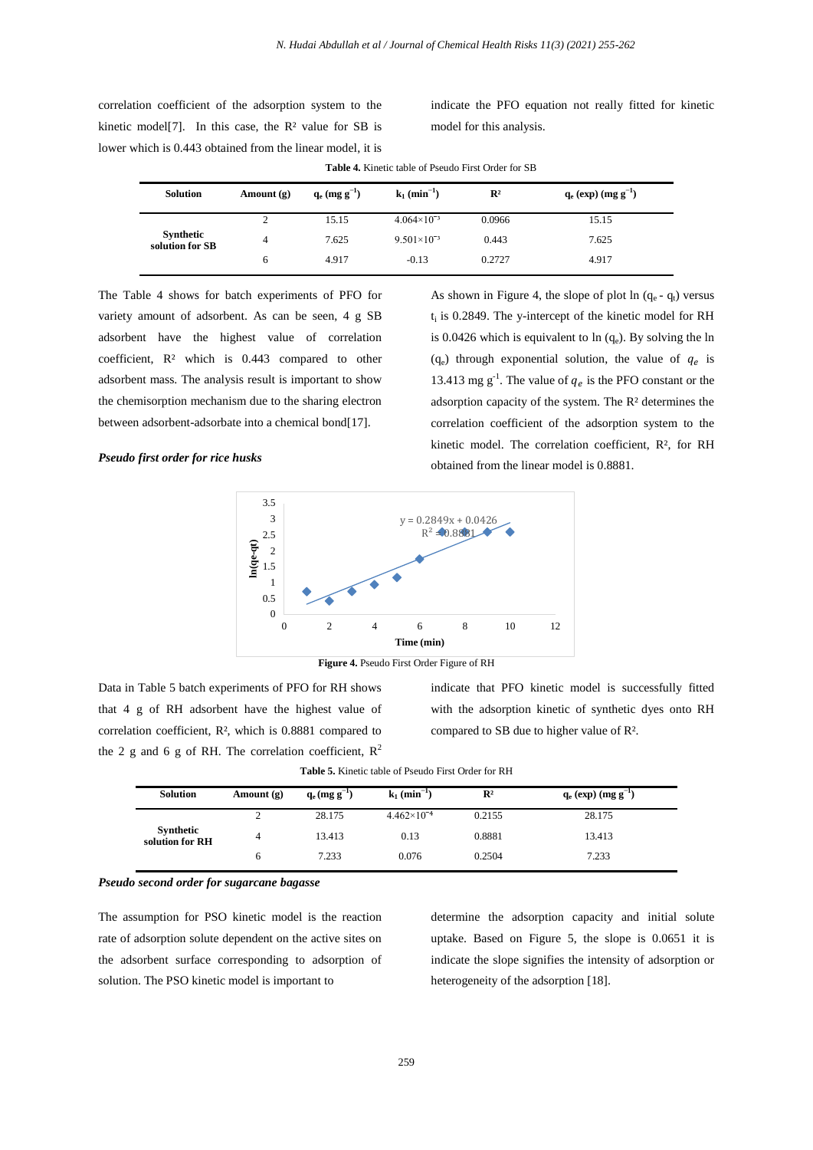correlation coefficient of the adsorption system to the kinetic model[7]. In this case, the  $\mathbb{R}^2$  value for SB is lower which is 0.443 obtained from the linear model, it is indicate the PFO equation not really fitted for kinetic model for this analysis.

| <b>Solution</b>              | Amount $(g)$ | $q_e$ (mg g <sup>-1</sup> ) | $k_1$ (min <sup>-1</sup> ) | $\mathbb{R}^2$ | $q_e$ (exp) (mg g <sup>-1</sup> ) |
|------------------------------|--------------|-----------------------------|----------------------------|----------------|-----------------------------------|
|                              |              | 15.15                       | $4.064\times10^{-3}$       | 0.0966         | 15.15                             |
| Synthetic<br>solution for SB | 4            | 7.625                       | $9.501\times10^{-3}$       | 0.443          | 7.625                             |
|                              | O            | 4.917                       | $-0.13$                    | 0.2727         | 4.917                             |

**Table 4.** Kinetic table of Pseudo First Order for SB

The Table 4 shows for batch experiments of PFO for variety amount of adsorbent. As can be seen, 4 g SB adsorbent have the highest value of correlation coefficient, R² which is 0.443 compared to other adsorbent mass. The analysis result is important to show the chemisorption mechanism due to the sharing electron between adsorbent-adsorbate into a chemical bond[17].

## As shown in Figure 4, the slope of plot  $ln (q_e - q_t)$  versus  $t_i$  is 0.2849. The y-intercept of the kinetic model for RH is 0.0426 which is equivalent to ln (q<sub>e</sub>). By solving the ln  $(q_e)$  through exponential solution, the value of  $q_e$  is 13.413 mg  $g^{-1}$ . The value of  $q_e$  is the PFO constant or the adsorption capacity of the system. The R² determines the correlation coefficient of the adsorption system to the kinetic model. The correlation coefficient, R², for RH obtained from the linear model is 0.8881.

## *Pseudo first order for rice husks*



**Figure 4.** Pseudo First Order Figure of RH

Data in Table 5 batch experiments of PFO for RH shows that 4 g of RH adsorbent have the highest value of correlation coefficient, R², which is 0.8881 compared to the 2 g and 6 g of RH. The correlation coefficient,  $R^2$  indicate that PFO kinetic model is successfully fitted with the adsorption kinetic of synthetic dyes onto RH compared to SB due to higher value of R².

|  |  |  |  |  |  | <b>Table 5.</b> Kinetic table of Pseudo First Order for RH |
|--|--|--|--|--|--|------------------------------------------------------------|
|--|--|--|--|--|--|------------------------------------------------------------|

| <b>Solution</b>              | Amount $(g)$ | $q_e$ (mg g <sup>-1</sup> ) | $k_1$ (min <sup>-1</sup> ) | $\mathbb{R}^2$ | $q_e$ (exp) (mg g <sup>-1</sup> ) |
|------------------------------|--------------|-----------------------------|----------------------------|----------------|-----------------------------------|
|                              |              | 28.175                      | $4.462\times10^{-4}$       | 0.2155         | 28.175                            |
| Synthetic<br>solution for RH | 4            | 13.413                      | 0.13                       | 0.8881         | 13.413                            |
|                              | h            | 7.233                       | 0.076                      | 0.2504         | 7.233                             |

## *Pseudo second order for sugarcane bagasse*

The assumption for PSO kinetic model is the reaction rate of adsorption solute dependent on the active sites on the adsorbent surface corresponding to adsorption of solution. The PSO kinetic model is important to

determine the adsorption capacity and initial solute uptake. Based on Figure 5, the slope is 0.0651 it is indicate the slope signifies the intensity of adsorption or heterogeneity of the adsorption [18].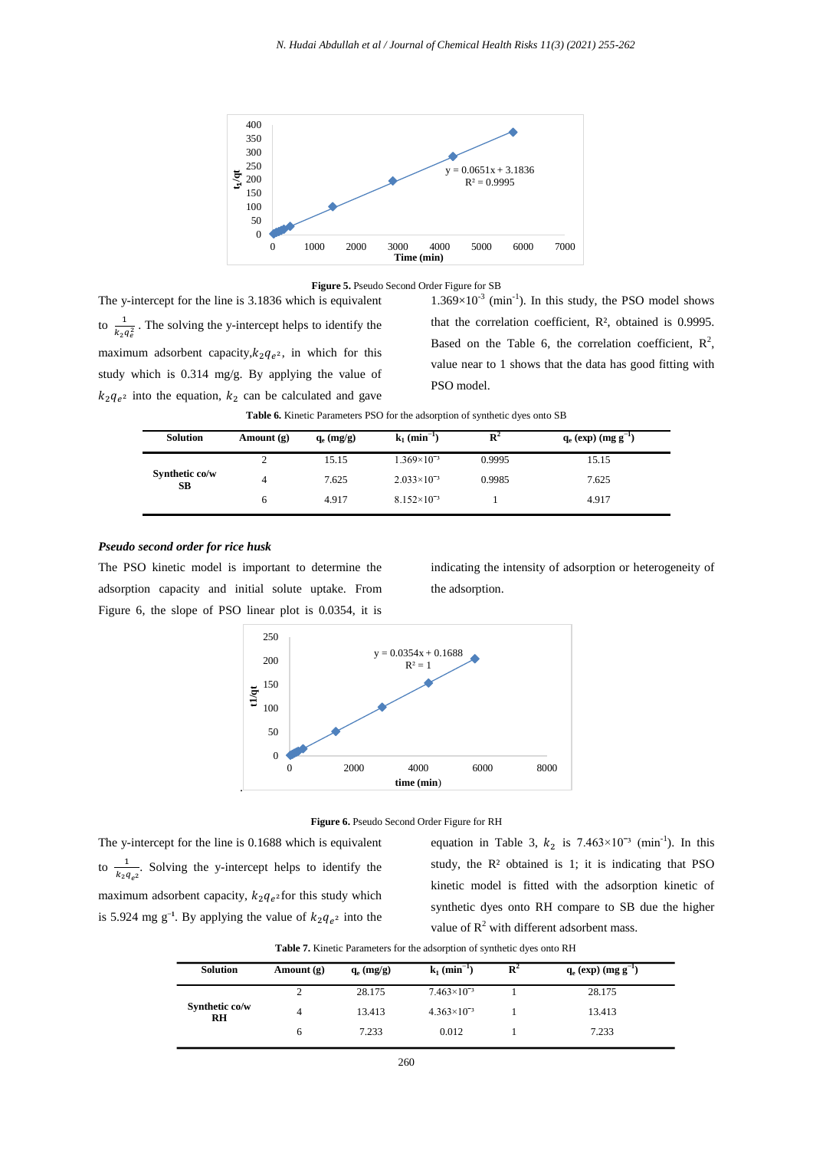



The y-intercept for the line is 3.1836 which is equivalent to  $\frac{1}{1}$  $\frac{1}{k_2 q_e^2}$ . The solving the y-intercept helps to identify the maximum adsorbent capacity, $k_2 q_{e^2}$ , in which for this study which is 0.314 mg/g. By applying the value of  $k_2q_e$  into the equation,  $k_2$  can be calculated and gave

 $1.369\times10^{-3}$  (min<sup>-1</sup>). In this study, the PSO model shows that the correlation coefficient, R², obtained is 0.9995. Based on the Table 6, the correlation coefficient,  $R^2$ , value near to 1 shows that the data has good fitting with PSO model.

| Table 6. Kinetic Parameters PSO for the adsorption of synthetic dyes onto SB |  |  |
|------------------------------------------------------------------------------|--|--|
|------------------------------------------------------------------------------|--|--|

| <b>Solution</b>      | Amount $(g)$ | $q_e$ (mg/g) | $k_1$ (min <sup>-1</sup> ) | $\mathbf{R}^2$ | $q_e$ (exp) (mg g <sup>-1</sup> ) |
|----------------------|--------------|--------------|----------------------------|----------------|-----------------------------------|
|                      |              | 15.15        | $1.369\times10^{-3}$       | 0.9995         | 15.15                             |
| Synthetic co/w<br>SВ |              | 7.625        | $2.033\times10^{-3}$       | 0.9985         | 7.625                             |
|                      | 6            | 4.917        | $8.152\times10^{-3}$       |                | 4.917                             |

### *Pseudo second order for rice husk*

The PSO kinetic model is important to determine the adsorption capacity and initial solute uptake. From Figure 6, the slope of PSO linear plot is 0.0354, it is indicating the intensity of adsorption or heterogeneity of the adsorption.





The y-intercept for the line is 0.1688 which is equivalent to  $\frac{1}{\sqrt{2}}$  $\frac{1}{k_2 q_{\rho^2}}$ . Solving the y-intercept helps to identify the maximum adsorbent capacity,  $k_2q_e$  for this study which is 5.924 mg g<sup>-1</sup>. By applying the value of  $k_2q_{e^2}$  into the equation in Table 3,  $k_2$  is 7.463×10<sup>-3</sup> (min<sup>-1</sup>). In this study, the  $R<sup>2</sup>$  obtained is 1; it is indicating that PSO kinetic model is fitted with the adsorption kinetic of synthetic dyes onto RH compare to SB due the higher value of  $R^2$  with different adsorbent mass.

**Table 7.** Kinetic Parameters for the adsorption of synthetic dyes onto RH

| <b>Solution</b>             | Amount $(g)$ | $q_e$ (mg/g) | $k_1$ (min <sup>-1</sup> ) | $\mathbf{R}^2$ | $q_e$ (exp) (mg g <sup>-1</sup> ) |
|-----------------------------|--------------|--------------|----------------------------|----------------|-----------------------------------|
|                             |              | 28.175       | $7.463\times10^{-3}$       |                | 28.175                            |
| Synthetic co/w<br><b>RH</b> |              | 13.413       | $4.363\times10^{-3}$       |                | 13.413                            |
|                             | 6            | 7.233        | 0.012                      |                | 7.233                             |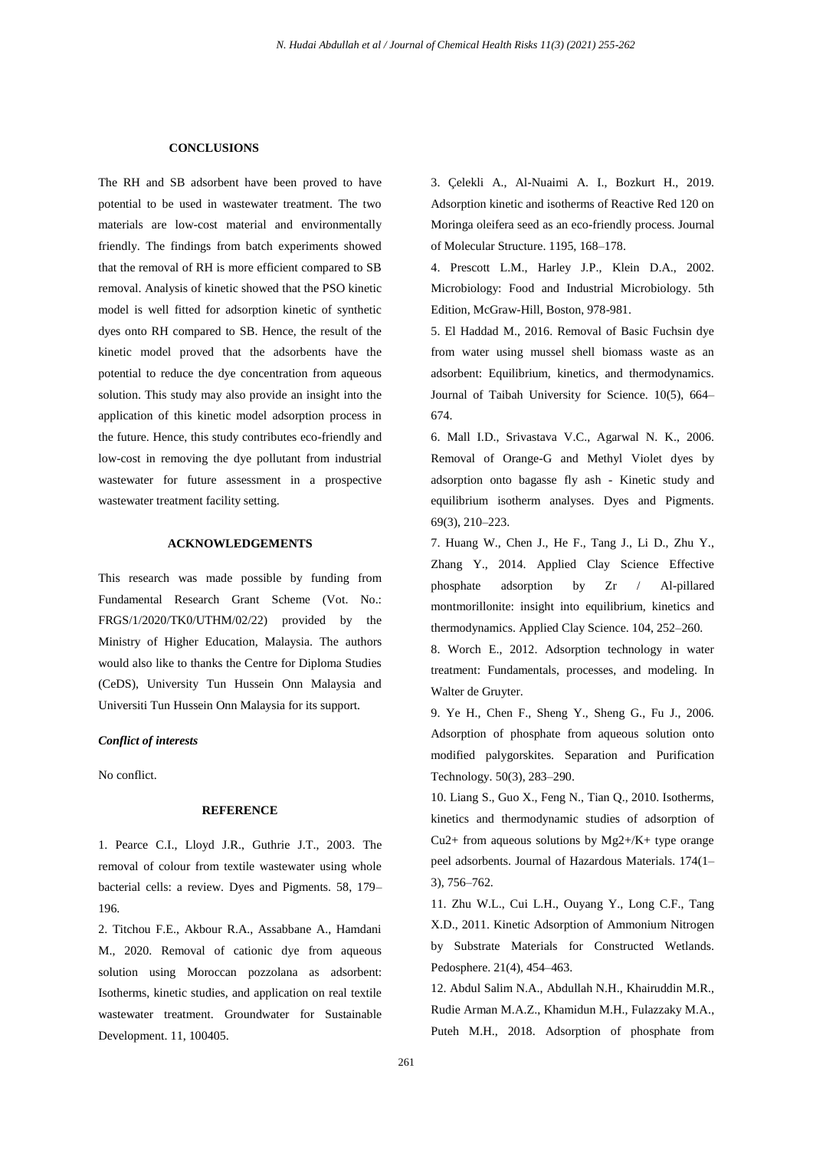#### **CONCLUSIONS**

The RH and SB adsorbent have been proved to have potential to be used in wastewater treatment. The two materials are low-cost material and environmentally friendly. The findings from batch experiments showed that the removal of RH is more efficient compared to SB removal. Analysis of kinetic showed that the PSO kinetic model is well fitted for adsorption kinetic of synthetic dyes onto RH compared to SB. Hence, the result of the kinetic model proved that the adsorbents have the potential to reduce the dye concentration from aqueous solution. This study may also provide an insight into the application of this kinetic model adsorption process in the future. Hence, this study contributes eco-friendly and low-cost in removing the dye pollutant from industrial wastewater for future assessment in a prospective wastewater treatment facility setting.

## **ACKNOWLEDGEMENTS**

This research was made possible by funding from Fundamental Research Grant Scheme (Vot. No.: FRGS/1/2020/TK0/UTHM/02/22) provided by the Ministry of Higher Education, Malaysia. The authors would also like to thanks the Centre for Diploma Studies (CeDS), University Tun Hussein Onn Malaysia and Universiti Tun Hussein Onn Malaysia for its support.

## *Conflict of interests*

No conflict.

## **REFERENCE**

1. Pearce C.I., Lloyd J.R., Guthrie J.T., 2003. The removal of colour from textile wastewater using whole bacterial cells: a review. Dyes and Pigments. 58, 179– 196.

2. Titchou F.E., Akbour R.A., Assabbane A., Hamdani M., 2020. Removal of cationic dye from aqueous solution using Moroccan pozzolana as adsorbent: Isotherms, kinetic studies, and application on real textile wastewater treatment. Groundwater for Sustainable Development. 11, 100405.

3. Çelekli A., Al-Nuaimi A. I., Bozkurt H., 2019. Adsorption kinetic and isotherms of Reactive Red 120 on Moringa oleifera seed as an eco-friendly process. Journal of Molecular Structure. 1195, 168–178.

4. Prescott L.M., Harley J.P., Klein D.A., 2002. Microbiology: Food and Industrial Microbiology. 5th Edition, McGraw-Hill, Boston, 978-981.

5. El Haddad M., 2016. Removal of Basic Fuchsin dye from water using mussel shell biomass waste as an adsorbent: Equilibrium, kinetics, and thermodynamics. Journal of Taibah University for Science. 10(5), 664– 674.

6. Mall I.D., Srivastava V.C., Agarwal N. K., 2006. Removal of Orange-G and Methyl Violet dyes by adsorption onto bagasse fly ash - Kinetic study and equilibrium isotherm analyses. Dyes and Pigments. 69(3), 210–223.

7. Huang W., Chen J., He F., Tang J., Li D., Zhu Y., Zhang Y., 2014. Applied Clay Science Effective phosphate adsorption by Zr / Al-pillared montmorillonite: insight into equilibrium, kinetics and thermodynamics. Applied Clay Science. 104, 252–260.

8. Worch E., 2012. Adsorption technology in water treatment: Fundamentals, processes, and modeling. In Walter de Gruyter.

9. Ye H., Chen F., Sheng Y., Sheng G., Fu J., 2006. Adsorption of phosphate from aqueous solution onto modified palygorskites. Separation and Purification Technology. 50(3), 283–290.

10. Liang S., Guo X., Feng N., Tian Q., 2010. Isotherms, kinetics and thermodynamic studies of adsorption of Cu2+ from aqueous solutions by Mg2+/K+ type orange peel adsorbents. Journal of Hazardous Materials. 174(1– 3), 756–762.

11. Zhu W.L., Cui L.H., Ouyang Y., Long C.F., Tang X.D., 2011. Kinetic Adsorption of Ammonium Nitrogen by Substrate Materials for Constructed Wetlands. Pedosphere. 21(4), 454–463.

12. Abdul Salim N.A., Abdullah N.H., Khairuddin M.R., Rudie Arman M.A.Z., Khamidun M.H., Fulazzaky M.A., Puteh M.H., 2018. Adsorption of phosphate from